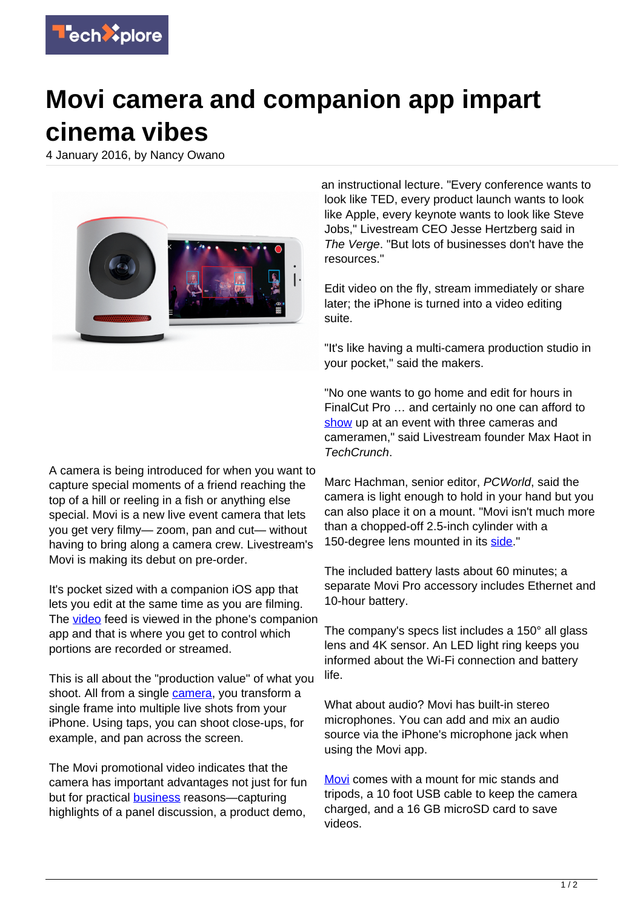

## **Movi camera and companion app impart cinema vibes**

4 January 2016, by Nancy Owano



an instructional lecture. "Every conference wants to look like TED, every product launch wants to look like Apple, every keynote wants to look like Steve Jobs," Livestream CEO Jesse Hertzberg said in The Verge. "But lots of businesses don't have the resources."

Edit video on the fly, stream immediately or share later; the iPhone is turned into a video editing suite.

"It's like having a multi-camera production studio in your pocket," said the makers.

"No one wants to go home and edit for hours in FinalCut Pro … and certainly no one can afford to [show](http://techcrunch.com/2016/01/03/livestream-unveils-movi/?ncid=rss) up at an event with three cameras and cameramen," said Livestream founder Max Haot in TechCrunch.

A camera is being introduced for when you want to capture special moments of a friend reaching the top of a hill or reeling in a fish or anything else special. Movi is a new live event camera that lets you get very filmy— zoom, pan and cut— without having to bring along a camera crew. Livestream's Movi is making its debut on pre-order.

It's pocket sized with a companion iOS app that lets you edit at the same time as you are filming. The [video](https://techxplore.com/tags/video/) feed is viewed in the phone's companion app and that is where you get to control which portions are recorded or streamed.

This is all about the "production value" of what you shoot. All from a single [camera](https://techxplore.com/tags/camera/), you transform a single frame into multiple live shots from your iPhone. Using taps, you can shoot close-ups, for example, and pan across the screen.

The Movi promotional video indicates that the camera has important advantages not just for fun but for practical **[business](https://getmovi.com/videos)** reasons—capturing highlights of a panel discussion, a product demo,

Marc Hachman, senior editor, PCWorld, said the camera is light enough to hold in your hand but you can also place it on a mount. "Movi isn't much more than a chopped-off 2.5-inch cylinder with a 150-degree lens mounted in its [side.](http://www.pcworld.com/article/3018056/camcorders/livestreams-399-movi-lets-you-shoot-complex-streaming-video-with-just-one-lens)"

The included battery lasts about 60 minutes; a separate Movi Pro accessory includes Ethernet and 10-hour battery.

The company's specs list includes a 150° all glass lens and 4K sensor. An LED light ring keeps you informed about the Wi-Fi connection and battery life.

What about audio? Movi has built-in stereo microphones. You can add and mix an audio source via the iPhone's microphone jack when using the Movi app.

[Movi](https://www.getmovi.com/products/movi-white) comes with a mount for mic stands and tripods, a 10 foot USB cable to keep the camera charged, and a 16 GB microSD card to save videos.